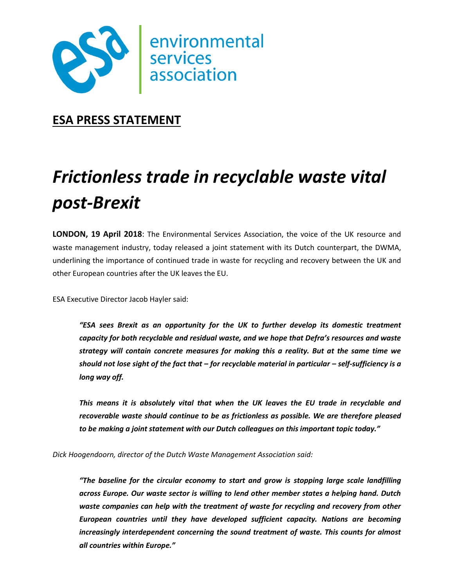

## **ESA PRESS STATEMENT**

# *Frictionless trade in recyclable waste vital post-Brexit*

**LONDON, 19 April 2018**: The Environmental Services Association, the voice of the UK resource and waste management industry, today released a joint statement with its Dutch counterpart, the DWMA, underlining the importance of continued trade in waste for recycling and recovery between the UK and other European countries after the UK leaves the EU.

ESA Executive Director Jacob Hayler said:

*"ESA sees Brexit as an opportunity for the UK to further develop its domestic treatment capacity for both recyclable and residual waste, and we hope that Defra's resources and waste strategy will contain concrete measures for making this a reality. But at the same time we should not lose sight of the fact that – for recyclable material in particular – self-sufficiency is a long way off.* 

*This means it is absolutely vital that when the UK leaves the EU trade in recyclable and recoverable waste should continue to be as frictionless as possible. We are therefore pleased to be making a joint statement with our Dutch colleagues on this important topic today."*

*Dick Hoogendoorn, director of the Dutch Waste Management Association said:* 

*"The baseline for the circular economy to start and grow is stopping large scale landfilling across Europe. Our waste sector is willing to lend other member states a helping hand. Dutch waste companies can help with the treatment of waste for recycling and recovery from other European countries until they have developed sufficient capacity. Nations are becoming increasingly interdependent concerning the sound treatment of waste. This counts for almost all countries within Europe."*